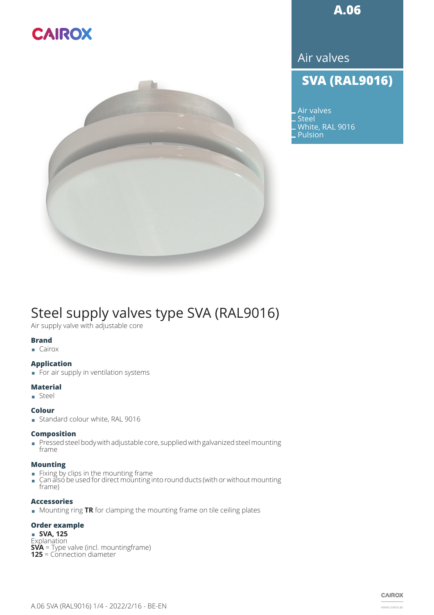# **CAIROX**



**A.06**

Air valves

### **SVA (RAL9016)**

Air valves **Steel** White, RAL 9016 Pulsion

## Steel supply valves type SVA (RAL9016)

Air supply valve with adjustable core

#### **Brand**

 $\Box$  Cairox

#### **Application**

**EXECUTE: For air supply in ventilation systems** 

#### **Material**

¾ Steel

#### **Colour**

■ Standard colour white, RAL 9016

#### **Composition**

¾ Pressed steel body with adjustable core, supplied with galvanized steel mounting frame

#### **Mounting**

- **Example 5 Fixing by clips in the mounting frame**
- Can also be used for direct mounting into round ducts (with or without mounting frame)

#### **Accessories**

¾ Mounting ring **TR** for clamping the mounting frame on tile ceiling plates

#### **Order example**

¾ **SVA, 125 Explanation SVA** = Type valve (incl. mountingframe) **125** = Connection diameter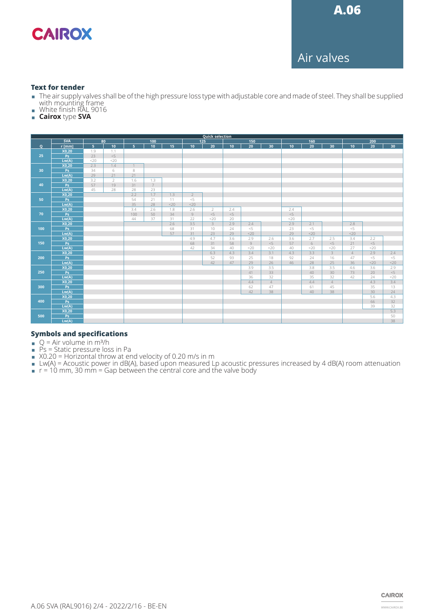

Air valves

#### **Text for tender**

- ¾ The air supply valves shall be of the high pressure loss type with adjustable core and made of steel. They shall be supplied with mounting frame
- White finish RAL 9016
- ¾ **Cairox** type **SVA**

|     | <b>Quick selection</b> |                |                 |                |                 |                 |                 |     |       |                 |                |        |                 |                         |                 |                 |       |
|-----|------------------------|----------------|-----------------|----------------|-----------------|-----------------|-----------------|-----|-------|-----------------|----------------|--------|-----------------|-------------------------|-----------------|-----------------|-------|
|     | <b>SVA</b><br>80       |                | 100             |                |                 | 125             |                 | 150 |       | 160             |                | 200    |                 |                         |                 |                 |       |
| Q   | r [mm]                 | $\overline{5}$ | 10 <sub>1</sub> | 5 <sup>1</sup> | $\overline{10}$ | $\overline{15}$ | 10 <sub>1</sub> | 20  | 10    | $\overline{20}$ | 30             | 10     | $\overline{20}$ | 30                      | 10 <sup>°</sup> | $\overline{20}$ | 30    |
| 25  | X0,20                  | 1.9            | 1.1             |                |                 |                 |                 |     |       |                 |                |        |                 |                         |                 |                 |       |
|     | Ps                     | 23             | $< 5$           |                |                 |                 |                 |     |       |                 |                |        |                 |                         |                 |                 |       |
|     | Lw(A)                  | <20            | <20             |                |                 |                 |                 |     |       |                 |                |        |                 |                         |                 |                 |       |
| 30  | X0,20                  | 2.3            | 1.4             | $\mathbf{1}$   |                 |                 |                 |     |       |                 |                |        |                 |                         |                 |                 |       |
|     | Ps                     | 34             | 6               | 8              |                 |                 |                 |     |       |                 |                |        |                 |                         |                 |                 |       |
|     | Lw(A)                  | 29             | 21              | 21             |                 |                 |                 |     |       |                 |                |        |                 |                         |                 |                 |       |
| 40  | X0,20                  | 3.2            | $\overline{2}$  | 1.6            | 1.3             |                 |                 |     |       |                 |                |        |                 |                         |                 |                 |       |
|     | Ps                     | 57             | 19              | 31             | $7\phantom{.0}$ |                 |                 |     |       |                 |                |        |                 |                         |                 |                 |       |
|     | Lw(A)                  | 45             | 28              | 28             | 23              |                 |                 |     |       |                 |                |        |                 |                         |                 |                 |       |
| 50  | X0,20                  |                |                 | 2.2            | 1.7             | 1.3             | $\overline{2}$  |     |       |                 |                |        |                 |                         |                 |                 |       |
|     | Ps                     |                |                 | 54             | 21              | 11              | $< 5$           |     |       |                 |                |        |                 |                         |                 |                 |       |
|     | Lw(A)                  |                |                 | 35             | 28              | $<$ 20          | <20             |     |       |                 |                |        |                 |                         |                 |                 |       |
| 70  | X0,20                  |                |                 | 3.4            | 2.6             | 1.8             | 2.6             | 2   | 2.4   |                 |                | 2.4    |                 |                         |                 |                 |       |
|     | Ps                     |                |                 | 100            | 50              | 34              | $\,$ $\,$ $\,$  | < 5 | $< 5$ |                 |                | $< 5$  |                 |                         |                 |                 |       |
|     | Lw(A)                  |                |                 | 44             | 37              | 31              | 22              | <20 | 20    |                 |                | $<$ 20 |                 |                         |                 |                 |       |
| 100 | X0,20                  |                |                 |                |                 | 2.6             | 3.5             |     | 2.9   | 2.4             |                | 2.9    | 2.1             |                         | 2.8             |                 |       |
|     | Ps                     |                |                 |                |                 | 68              | 31              | 10  | 24    | < 5             |                | 23     | $<$ $\!\!5$     |                         | < 5             |                 |       |
|     | Lw(A)                  |                |                 |                |                 | 57              | 31              | 23  | 29    | $<$ 20          |                | 29     | $<$ 20          |                         | $<$ 20          |                 |       |
|     | X0,20                  |                |                 |                |                 |                 | 4.9             | 4.7 | 3.6   | 2.9             | 2.6            | 3.6    | 2.7             | 2.5                     | 3.4             | 2.2             |       |
| 150 | Ps                     |                |                 |                |                 |                 | 68              | 31  | 58    | $\overline{9}$  | $<$ 5          | 57     | 6               | < 5                     | 21              | $< 5$           |       |
|     | Lw(A)                  |                |                 |                |                 |                 | 42              | 34  | 40    | $<$ 20          | <20            | 40     | $<$ 20          | <20                     | 27              | <20             |       |
|     | X0,20                  |                |                 |                |                 |                 |                 | 6.3 | 4.3   | 3.4             | 3.1            | 4.3    | 3.3             | $\overline{\mathbf{3}}$ | $\overline{4}$  | 2.9             | 2.4   |
| 200 | P <sub>S</sub>         |                |                 |                |                 |                 |                 | 52  | 93    | 25              | 18             | 92     | 24              | 16                      | 47              | $< 5$           | $< 5$ |
|     | Lw(A)                  |                |                 |                |                 |                 |                 | 42  | 47    | 29              | 26             | 46     | 28              | 25                      | 36              | $20$            | $20$  |
| 250 | X0,20                  |                |                 |                |                 |                 |                 |     |       | 3.9             | 3.5            |        | 3.8             | 3.5                     | 4.6             | 3.6             | 2.9   |
|     | Ps                     |                |                 |                |                 |                 |                 |     |       | 41              | 33             |        | 40              | 30                      | 73              | 20              | $<$ 5 |
|     | Lw(A)                  |                |                 |                |                 |                 |                 |     |       | 36              | 32             |        | 35              | 32                      | 42              | 24              | <20   |
| 300 | X0,20                  |                |                 |                |                 |                 |                 |     |       | 4.4             | $\overline{4}$ |        | 4.4             | $\overline{4}$          |                 | 4.3             | 3.4   |
|     | Ps                     |                |                 |                |                 |                 |                 |     |       | 62              | 47             |        | 61              | 45                      |                 | 35              | 13    |
|     | Lw(A)                  |                |                 |                |                 |                 |                 |     |       | 42              | 38             |        | 40              | 38                      |                 | 30              | 24    |
| 400 | X0,20                  |                |                 |                |                 |                 |                 |     |       |                 |                |        |                 |                         |                 | 5.6             | 4.3   |
|     | Ps                     |                |                 |                |                 |                 |                 |     |       |                 |                |        |                 |                         |                 | 66              | 32    |
|     | Lw(A)                  |                |                 |                |                 |                 |                 |     |       |                 |                |        |                 |                         |                 | 39              | 32    |
| 500 | X0,20                  |                |                 |                |                 |                 |                 |     |       |                 |                |        |                 |                         |                 |                 | 5.3   |
|     | Ps                     |                |                 |                |                 |                 |                 |     |       |                 |                |        |                 |                         |                 |                 | 50    |
|     | Lw(A)                  |                |                 |                |                 |                 |                 |     |       |                 |                |        |                 |                         |                 |                 | 38    |

#### **Symbols and specifications**

- $\bullet$  Q = Air volume in m<sup>3</sup>/h
- $PS = State$  pressure loss in Pa
- $\blacksquare$  X0.20 = Horizontal throw at end velocity of 0.20 m/s in m
- ¾ Lw(A) = Acoustic power in dB(A), based upon measured Lp acoustic pressures increased by 4 dB(A) room attenuation
- $\blacksquare$  r = 10 mm, 30 mm = Gap between the central core and the valve body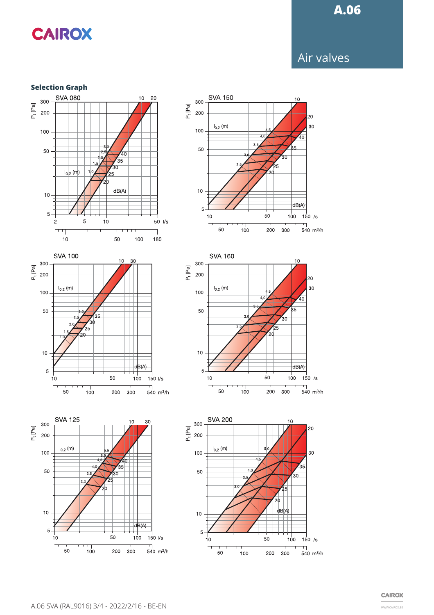### **A.06**

# **CAIROX**

### Air valves

#### **Selection Graph**